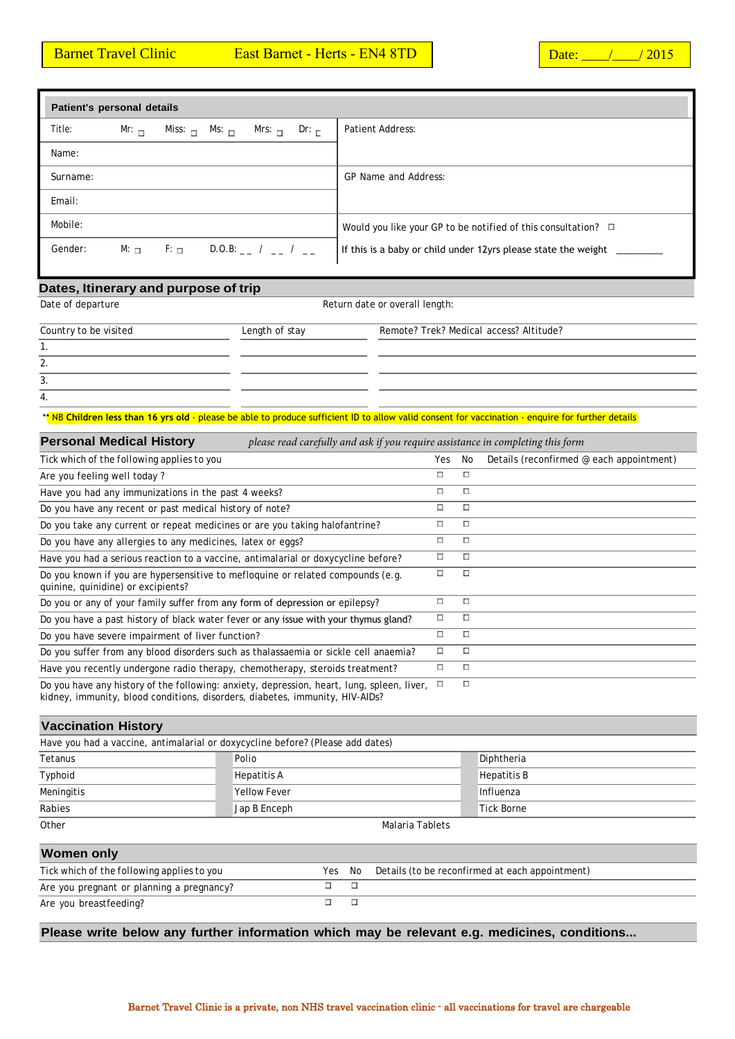| Patient's personal details |                     |                         |                                             |                                                                       |
|----------------------------|---------------------|-------------------------|---------------------------------------------|-----------------------------------------------------------------------|
| Title:                     | Mr: $\Box$          | Miss: $\Box$ Ms: $\Box$ | Mrs: $\Box$ Dr: $\Box$                      | Patient Address:                                                      |
| Name:                      |                     |                         |                                             |                                                                       |
| Surname:                   |                     |                         |                                             | GP Name and Address:                                                  |
| Email:                     |                     |                         |                                             |                                                                       |
| Mobile:                    |                     |                         |                                             | Would you like your GP to be notified of this consultation? $\square$ |
| Gender:                    | $M: \ \blacksquare$ |                         | $F:$ $\Box$ D.O.B: $\Box$ / $\Box$ / $\Box$ | If this is a baby or child under 12yrs please state the weight        |
|                            |                     |                         |                                             |                                                                       |

## **Dates, Itinerary and purpose of trip**

Date of departure  $\qquad \qquad$   $\qquad \qquad$   $\qquad \qquad$   $\qquad$   $\qquad$   $\qquad$   $\qquad$   $\qquad$   $\qquad$   $\qquad$   $\qquad$   $\qquad$   $\qquad$   $\qquad$   $\qquad$   $\qquad$   $\qquad$   $\qquad$   $\qquad$   $\qquad$   $\qquad$   $\qquad$   $\qquad$   $\qquad$   $\qquad$   $\qquad$   $\qquad$   $\qquad$   $\qquad$   $\qquad$   $\qquad$   $\qquad$   $\q$ 

| Country to be visited | Length of stay | Remote? Trek? Medical access? Altitude? |  |
|-----------------------|----------------|-----------------------------------------|--|
| . .                   |                |                                         |  |
| 2.                    |                |                                         |  |
| 3.                    |                |                                         |  |
| 4.                    |                |                                         |  |

\*\* NB Children less than 16 yrs old - please be able to produce sufficient ID to allow valid consent for vaccination - enquire for further details

| <b>Personal Medical History</b><br>please read carefully and ask if you require assistance in completing this form                                                         |              |        |                                          |
|----------------------------------------------------------------------------------------------------------------------------------------------------------------------------|--------------|--------|------------------------------------------|
| Tick which of the following applies to you                                                                                                                                 | Yes          | No     | Details (reconfirmed @ each appointment) |
| Are you feeling well today?                                                                                                                                                | п            | П      |                                          |
| Have you had any immunizations in the past 4 weeks?                                                                                                                        | П            | п      |                                          |
| Do you have any recent or past medical history of note?                                                                                                                    | П            | П      |                                          |
| Do you take any current or repeat medicines or are you taking halofantrine?                                                                                                | П            | П      |                                          |
| Do you have any allergies to any medicines, latex or eggs?                                                                                                                 | П            | П      |                                          |
| Have you had a serious reaction to a vaccine, antimalarial or doxycycline before?                                                                                          | □            | П      |                                          |
| Do you known if you are hypersensitive to mefloquine or related compounds (e.g.<br>quinine, quinidine) or excipients?                                                      | П            | П      |                                          |
| Do you or any of your family suffer from any form of depression or epilepsy?                                                                                               | П            | П      |                                          |
| Do you have a past history of black water fever or any issue with your thymus gland?                                                                                       | □            | П      |                                          |
| Do you have severe impairment of liver function?                                                                                                                           | П            | п      |                                          |
| Do you suffer from any blood disorders such as thalassaemia or sickle cell anaemia?                                                                                        | П            | П      |                                          |
| Have you recently undergone radio therapy, chemotherapy, steroids treatment?                                                                                               | П            | П      |                                          |
| Do you have any history of the following: anxiety, depression, heart, lung, spleen, liver,<br>kidney, immunity, blood conditions, disorders, diabetes, immunity, HIV-AIDs? | $\mathbf{r}$ | $\Box$ |                                          |

## **Vaccination History**

|                   | Have you had a vaccine, antimalarial or doxycycline before? (Please add dates) |                    |
|-------------------|--------------------------------------------------------------------------------|--------------------|
| Tetanus           | Polio                                                                          | Diphtheria         |
| Typhoid           | Hepatitis A                                                                    | <b>Hepatitis B</b> |
| Meningitis        | Yellow Fever                                                                   | Influenza          |
| Rabies            | Jap B Enceph                                                                   | Tick Borne         |
| Other             |                                                                                | Malaria Tablets    |
| <b>Women only</b> |                                                                                |                    |

## *Tick which of the following applies to you* Yes No Details (to be reconfirmed at each appointment) Are you pregnant or planning a pregnancy?  $\overline{\Box}$  $\overline{\Box}$  $\overline{\Box}$  $\overline{\mathbf{u}}$ Are you breastfeeding?

**Please write below any further information which may be relevant e.g. medicines, conditions...**